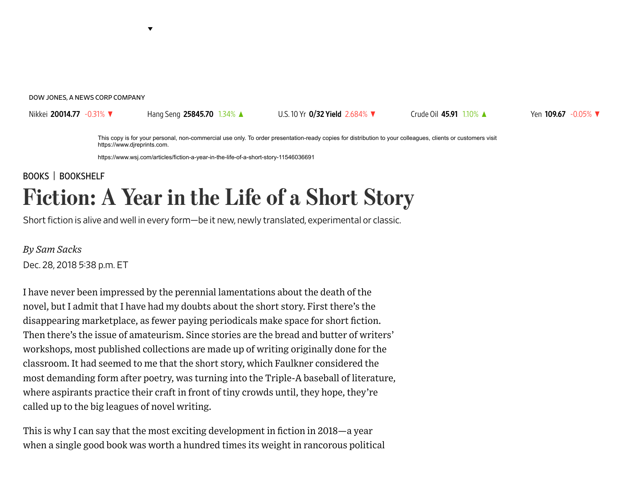## DOW JONES, A NEWS CORP COMPANY

Nikkei [20014.77](https://quotes.wsj.com/index/JP/NIK) -0.31% ▼ Hang Seng [25845.70](https://quotes.wsj.com/index/HK/HSI) 1.34% ▲ U.S.10 Yr 0/32 Yield [2.684%](https://quotes.wsj.com/bond/BX/TMUBMUSD10Y) ▼ [Crude](https://quotes.wsj.com/futures/Crude%20Oil%20-%20Electronic) Oil 45.91 1.10% ▲ Yen 109.67 [-0.05%](https://quotes.wsj.com/fx/USDJPY) ▼

This copy is for your personal, non-commercial use only. To order presentation-ready copies for distribution to your colleagues, clients or customers visit https://www.djreprints.com.

https://www.wsj.com/articles/fiction-a-year-in-the-life-of-a-short-story-11546036691

## [BOOKS](https://www.wsj.com/news/life-arts/books) | [BOOKSHELF](https://www.wsj.com/news/types/bookshelf) Fiction: A Year in the Life of a Short Story

Short fiction is alive and well in every form—be it new, newly translated, experimental or classic.

Dec. 28, 2018 538 p.m. ET *By Sam Sacks*

I have never been impressed by the perennial lamentations about the death of the novel, but I admit that I have had my doubts about the short story. First there's the disappearing marketplace, as fewer paying periodicals make space for short fiction. Then there's the issue of amateurism. Since stories are the bread and butter of writers' workshops, most published collections are made up of writing originally done for the classroom. It had seemed to me that the short story, which Faulkner considered the most demanding form after poetry, was turning into the Triple-A baseball of literature, where aspirants practice their craft in front of tiny crowds until, they hope, they're called up to the big leagues of novel writing.

This is why I can say that the most exciting development in fiction in 2018—a year when a single good book was worth a hundred times its weight in rancorous political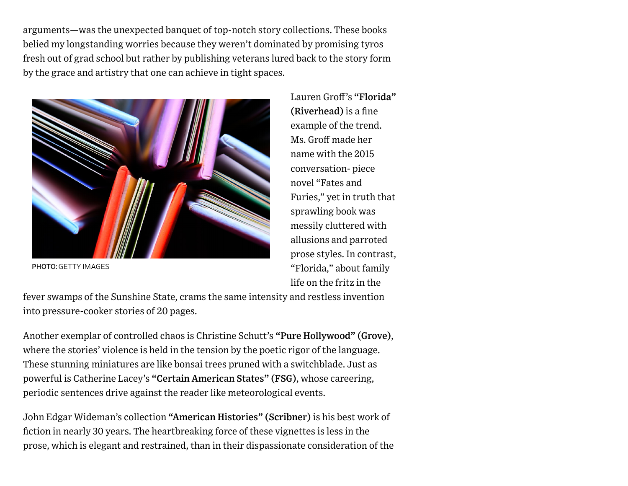arguments—was the unexpected banquet of top-notch story collections. These books belied my longstanding worries because they weren't dominated by promising tyros fresh out of grad school but rather by publishing veterans lured back to the story form by the grace and artistry that one can achieve in tight spaces.



PHOTO: GETTY IMAGES

Lauren Groff's "Florida" (Riverhead) is a fine example of the trend. Ms. Groff made her name with the 2015 conversation- piece novel "Fates and Furies," yet in truth that sprawling book was messily cluttered with allusions and parroted prose styles. In contrast, "Florida," about family life on the fritz in the

fever swamps of the Sunshine State, crams the same intensity and restless invention into pressure-cooker stories of 20 pages.

Another exemplar of controlled chaos is Christine Schutt's "Pure Hollywood" (Grove), where the stories' violence is held in the tension by the poetic rigor of the language. These stunning miniatures are like bonsai trees pruned with a switchblade. Just as powerful is Catherine Lacey's "Certain American States" (FSG), whose careering, periodic sentences drive against the reader like meteorological events.

John Edgar Wideman's collection "American Histories" (Scribner) is his best work of fiction in nearly 30 years. The heartbreaking force of these vignettes is less in the prose, which is elegant and restrained, than in their dispassionate consideration of the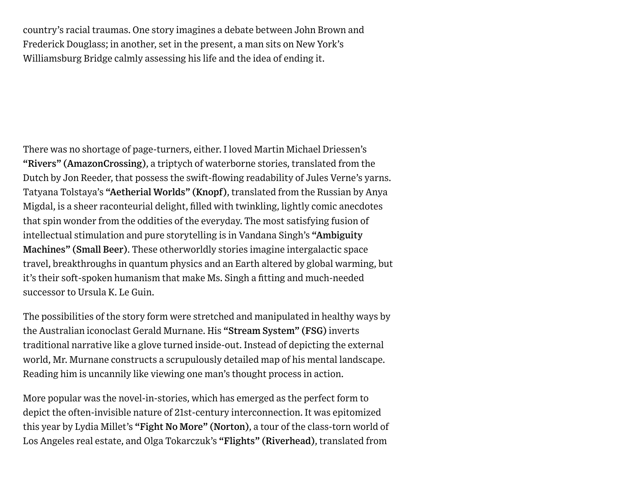country's racial traumas. One story imagines a debate between John Brown and Frederick Douglass; in another, set in the present, a man sits on New York's Williamsburg Bridge calmly assessing his life and the idea of ending it.

There was no shortage of page-turners, either. I loved Martin Michael Driessen's "Rivers" (AmazonCrossing), a triptych of waterborne stories, translated from the Dutch by Jon Reeder, that possess the swift-flowing readability of Jules Verne's yarns. Tatyana Tolstaya's "Aetherial Worlds" (Knopf), translated from the Russian by Anya Migdal, is a sheer raconteurial delight, filled with twinkling, lightly comic anecdotes that spin wonder from the oddities of the everyday. The most satisfying fusion of intellectual stimulation and pure storytelling is in Vandana Singh's "Ambiguity Machines" (Small Beer). These otherworldly stories imagine intergalactic space travel, breakthroughs in quantum physics and an Earth altered by global warming, but it's their soft-spoken humanism that make Ms. Singh a fitting and much-needed successor to Ursula K. Le Guin.

The possibilities of the story form were stretched and manipulated in healthy ways by the Australian iconoclast Gerald Murnane. His "Stream System" (FSG) inverts traditional narrative like a glove turned inside-out. Instead of depicting the external world, Mr. Murnane constructs a scrupulously detailed map of his mental landscape. Reading him is uncannily like viewing one man's thought process in action.

More popular was the novel-in-stories, which has emerged as the perfect form to depict the often-invisible nature of 21st-century interconnection. It was epitomized this year by Lydia Millet's "Fight No More" (Norton), a tour of the class-torn world of Los Angeles real estate, and Olga Tokarczuk's "Flights" (Riverhead), translated from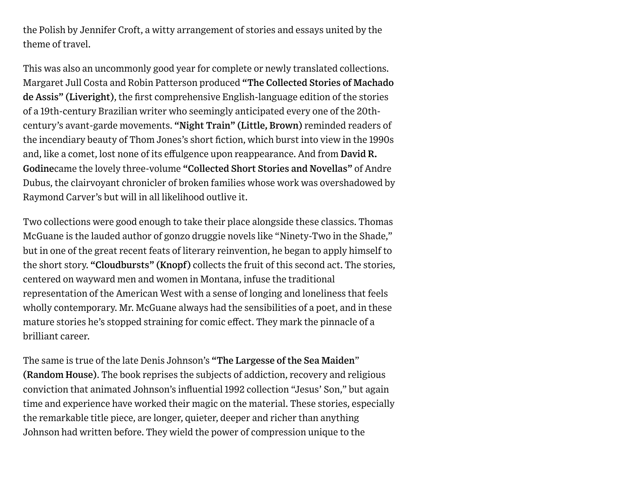the Polish by Jennifer Croft, a witty arrangement of stories and essays united by the theme of travel.

This was also an uncommonly good year for complete or newly translated collections. Margaret Jull Costa and Robin Patterson produced "The Collected Stories of Machado de Assis" (Liveright), the first comprehensive English-language edition of the stories of a 19th-century Brazilian writer who seemingly anticipated every one of the 20thcentury's avant-garde movements. "Night Train" (Little, Brown) reminded readers of the incendiary beauty of Thom Jones's short fiction, which burst into view in the 1990s and, like a comet, lost none of its effulgence upon reappearance. And from David R. Godinecame the lovely three-volume "Collected Short Stories and Novellas" of Andre Dubus, the clairvoyant chronicler of broken families whose work was overshadowed by Raymond Carver's but will in all likelihood outlive it.

Two collections were good enough to take their place alongside these classics. Thomas McGuane is the lauded author of gonzo druggie novels like "Ninety-Two in the Shade," but in one of the great recent feats of literary reinvention, he began to apply himself to the short story. "Cloudbursts" (Knopf) collects the fruit of this second act. The stories, centered on wayward men and women in Montana, infuse the traditional representation of the American West with a sense of longing and loneliness that feels wholly contemporary. Mr. McGuane always had the sensibilities of a poet, and in these mature stories he's stopped straining for comic effect. They mark the pinnacle of a brilliant career.

The same is true of the late Denis Johnson's "The Largesse of the Sea Maiden" (Random House). The book reprises the subjects of addiction, recovery and religious conviction that animated Johnson's influential 1992 collection "Jesus' Son," but again time and experience have worked their magic on the material. These stories, especially the remarkable title piece, are longer, quieter, deeper and richer than anything Johnson had written before. They wield the power of compression unique to the